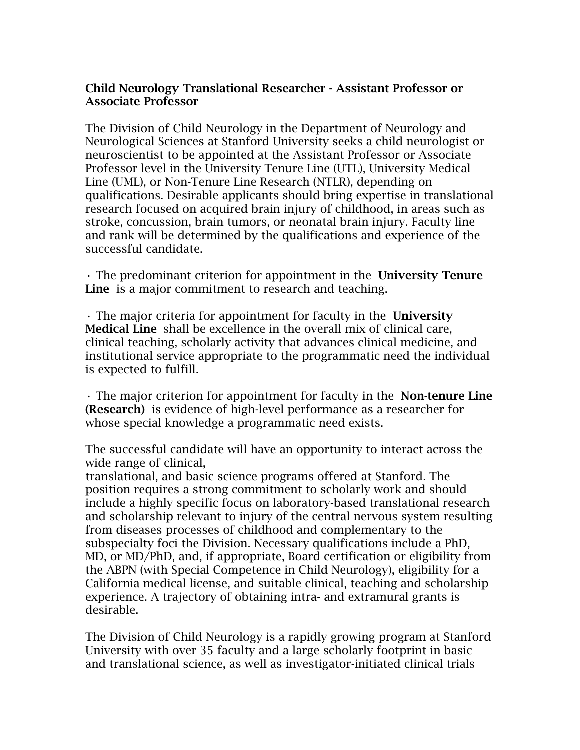## Child Neurology Translational Researcher - Assistant Professor or Associate Professor

The Division of Child Neurology in the Department of Neurology and Neurological Sciences at Stanford University seeks a child neurologist or neuroscientist to be appointed at the Assistant Professor or Associate Professor level in the University Tenure Line (UTL), University Medical Line (UML), or Non-Tenure Line Research (NTLR), depending on qualifications. Desirable applicants should bring expertise in translational research focused on acquired brain injury of childhood, in areas such as stroke, concussion, brain tumors, or neonatal brain injury. Faculty line and rank will be determined by the qualifications and experience of the successful candidate.

• The predominant criterion for appointment in the University Tenure Line is a major commitment to research and teaching.

• The major criteria for appointment for faculty in the University Medical Line shall be excellence in the overall mix of clinical care, clinical teaching, scholarly activity that advances clinical medicine, and institutional service appropriate to the programmatic need the individual is expected to fulfill.

• The major criterion for appointment for faculty in the Non-tenure Line (Research) is evidence of high-level performance as a researcher for whose special knowledge a programmatic need exists.

The successful candidate will have an opportunity to interact across the wide range of clinical,

translational, and basic science programs offered at Stanford. The position requires a strong commitment to scholarly work and should include a highly specific focus on laboratory-based translational research and scholarship relevant to injury of the central nervous system resulting from diseases processes of childhood and complementary to the subspecialty foci the Division. Necessary qualifications include a PhD, MD, or MD/PhD, and, if appropriate, Board certification or eligibility from the ABPN (with Special Competence in Child Neurology), eligibility for a California medical license, and suitable clinical, teaching and scholarship experience. A trajectory of obtaining intra- and extramural grants is desirable.

The Division of Child Neurology is a rapidly growing program at Stanford University with over 35 faculty and a large scholarly footprint in basic and translational science, as well as investigator-initiated clinical trials